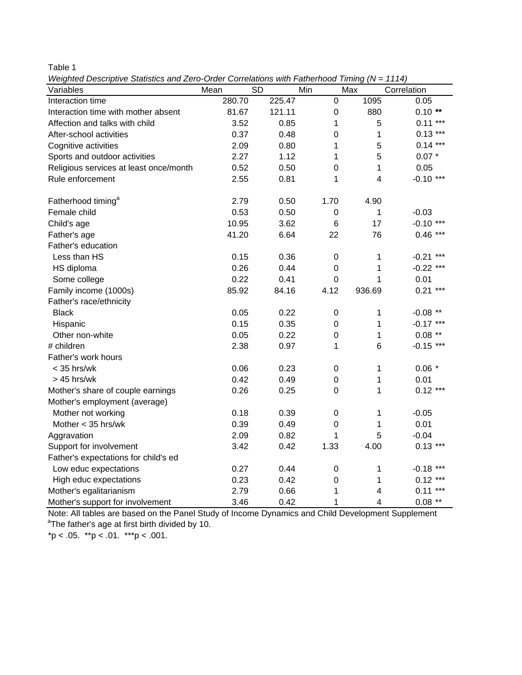Table 1

*Weighted Descriptive Statistics and Zero-Order Correlations with Fatherhood Timing (N = 1114)*

| $\alpha$ , $\alpha$ is the computer statistics and $\alpha$ for the contentions with reductive riming (i) $-$ 1114) |                   |        |                 |                         |             |
|---------------------------------------------------------------------------------------------------------------------|-------------------|--------|-----------------|-------------------------|-------------|
| Variables                                                                                                           | <b>SD</b><br>Mean | Min    |                 | Max                     | Correlation |
| Interaction time                                                                                                    | 280.70            | 225.47 | 0               | 1095                    | 0.05        |
| Interaction time with mother absent                                                                                 | 81.67             | 121.11 | 0               | 880                     | $0.10**$    |
| Affection and talks with child                                                                                      | 3.52              | 0.85   | 1               | 5                       | $0.11***$   |
| After-school activities                                                                                             | 0.37              | 0.48   | $\overline{0}$  | $\mathbf{1}$            | $0.13***$   |
| Cognitive activities                                                                                                | 2.09              | 0.80   | 1               | 5                       | $0.14***$   |
| Sports and outdoor activities                                                                                       | 2.27              | 1.12   | 1               | 5                       | $0.07*$     |
| Religious services at least once/month                                                                              | 0.52              | 0.50   | $\overline{0}$  | $\mathbf{1}$            | 0.05        |
| Rule enforcement                                                                                                    | 2.55              | 0.81   | 1               | $\overline{\mathbf{4}}$ | $-0.10$ *** |
| Fatherhood timing <sup>a</sup>                                                                                      | 2.79              | 0.50   | 1.70            | 4.90                    |             |
| Female child                                                                                                        | 0.53              | 0.50   | $\pmb{0}$       | 1                       | $-0.03$     |
| Child's age                                                                                                         | 10.95             | 3.62   | $6\phantom{1}6$ | 17                      | $-0.10$ *** |
| Father's age                                                                                                        | 41.20             | 6.64   | 22              | 76                      | $0.46***$   |
| Father's education                                                                                                  |                   |        |                 |                         |             |
| Less than HS                                                                                                        | 0.15              | 0.36   | $\pmb{0}$       | 1                       | $-0.21$ *** |
| HS diploma                                                                                                          | 0.26              | 0.44   | $\mathbf 0$     | $\mathbf{1}$            | $-0.22$ *** |
| Some college                                                                                                        | 0.22              | 0.41   | $\mathbf 0$     | $\mathbf{1}$            | 0.01        |
| Family income (1000s)                                                                                               | 85.92             | 84.16  | 4.12            | 936.69                  | $0.21***$   |
| Father's race/ethnicity                                                                                             |                   |        |                 |                         |             |
| <b>Black</b>                                                                                                        | 0.05              | 0.22   | $\pmb{0}$       | 1                       | $-0.08$ **  |
| Hispanic                                                                                                            | 0.15              | 0.35   | $\pmb{0}$       | 1                       | $-0.17$ *** |
| Other non-white                                                                                                     | 0.05              | 0.22   | $\mathbf 0$     | $\mathbf{1}$            | $0.08$ **   |
| # children                                                                                                          | 2.38              | 0.97   | 1               | 6                       | $-0.15$ *** |
| Father's work hours                                                                                                 |                   |        |                 |                         |             |
| $<$ 35 hrs/wk                                                                                                       | 0.06              | 0.23   | $\pmb{0}$       | 1                       | $0.06*$     |
| $>45$ hrs/wk                                                                                                        | 0.42              | 0.49   | $\mathbf 0$     | 1                       | 0.01        |
| Mother's share of couple earnings                                                                                   | 0.26              | 0.25   | 0               | 1                       | $0.12***$   |
| Mother's employment (average)                                                                                       |                   |        |                 |                         |             |
| Mother not working                                                                                                  | 0.18              | 0.39   | $\mathbf 0$     | 1                       | $-0.05$     |
| Mother $<$ 35 hrs/wk                                                                                                | 0.39              | 0.49   | $\mathbf 0$     | 1                       | 0.01        |
| Aggravation                                                                                                         | 2.09              | 0.82   | 1               | 5                       | $-0.04$     |
| Support for involvement                                                                                             | 3.42              | 0.42   | 1.33            | 4.00                    | $0.13***$   |
| Father's expectations for child's ed                                                                                |                   |        |                 |                         |             |
| Low educ expectations                                                                                               | 0.27              | 0.44   | $\pmb{0}$       | 1                       | $-0.18$ *** |
| High educ expectations                                                                                              | 0.23              | 0.42   | $\mathbf 0$     | 1                       | $0.12***$   |
| Mother's egalitarianism                                                                                             | 2.79              | 0.66   | 1               | $\overline{\mathbf{4}}$ | $0.11***$   |
| Mother's support for involvement                                                                                    | 3.46              | 0.42   | 1               | $\overline{4}$          | $0.08$ **   |

Note: All tables are based on the Panel Study of Income Dynamics and Child Development Supplement <sup>a</sup>The father's age at first birth divided by 10.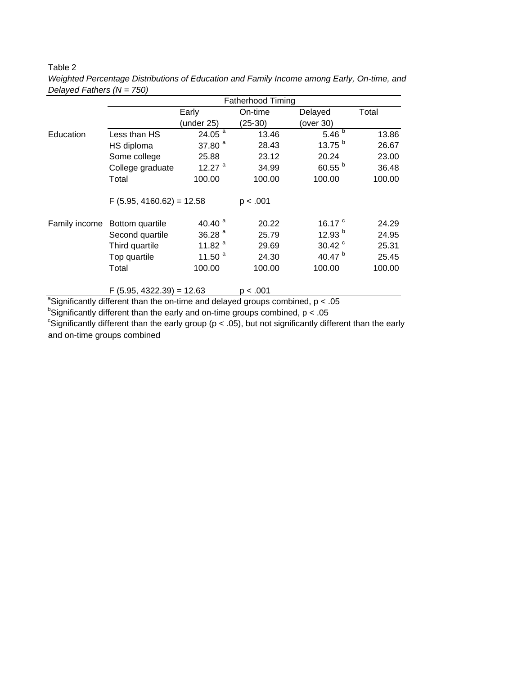## Table 2

|               |                             | <b>Fatherhood Timing</b> |           |                  |        |  |  |  |  |  |  |  |  |
|---------------|-----------------------------|--------------------------|-----------|------------------|--------|--|--|--|--|--|--|--|--|
|               |                             | Early                    | On-time   | Delayed          | Total  |  |  |  |  |  |  |  |  |
|               |                             | (under 25)               | $(25-30)$ | (over 30)        |        |  |  |  |  |  |  |  |  |
| Education     | Less than HS                | 24.05 $^{a}$             | 13.46     | 5.46 $^{5}$      | 13.86  |  |  |  |  |  |  |  |  |
|               | HS diploma                  | 37.80 $a$                | 28.43     | 13.75 $^{\rm b}$ | 26.67  |  |  |  |  |  |  |  |  |
|               | Some college                | 25.88                    | 23.12     | 20.24            | 23.00  |  |  |  |  |  |  |  |  |
|               | College graduate            | 12.27 $a$                | 34.99     | 60.55 $b$        | 36.48  |  |  |  |  |  |  |  |  |
|               | Total                       | 100.00                   | 100.00    | 100.00           | 100.00 |  |  |  |  |  |  |  |  |
|               | $F$ (5.95, 4160.62) = 12.58 |                          | p < .001  |                  |        |  |  |  |  |  |  |  |  |
| Family income | Bottom quartile             | 40.40 $a$                | 20.22     | 16.17 $\degree$  | 24.29  |  |  |  |  |  |  |  |  |
|               | Second quartile             | 36.28 $a$                | 25.79     | 12.93 $b$        | 24.95  |  |  |  |  |  |  |  |  |
|               | Third quartile              | 11.82 $a$                | 29.69     | 30.42 $\degree$  | 25.31  |  |  |  |  |  |  |  |  |
|               | Top quartile                | 11.50 $a$                | 24.30     | 40.47 $b$        | 25.45  |  |  |  |  |  |  |  |  |
|               | Total                       | 100.00                   | 100.00    | 100.00           | 100.00 |  |  |  |  |  |  |  |  |
|               | $F$ (5.95, 4322.39) = 12.63 |                          | p < .001  |                  |        |  |  |  |  |  |  |  |  |

*Weighted Percentage Distributions of Education and Family Income among Early, On-time, and Delayed Fathers (N = 750)*

<sup>a</sup>Significantly different than the on-time and delayed groups combined,  $p < .05$ 

 $^{\text{b}}$ Significantly different than the early and on-time groups combined, p < .05

<sup>c</sup>Significantly different than the early group ( $p < .05$ ), but not significantly different than the early and on-time groups combined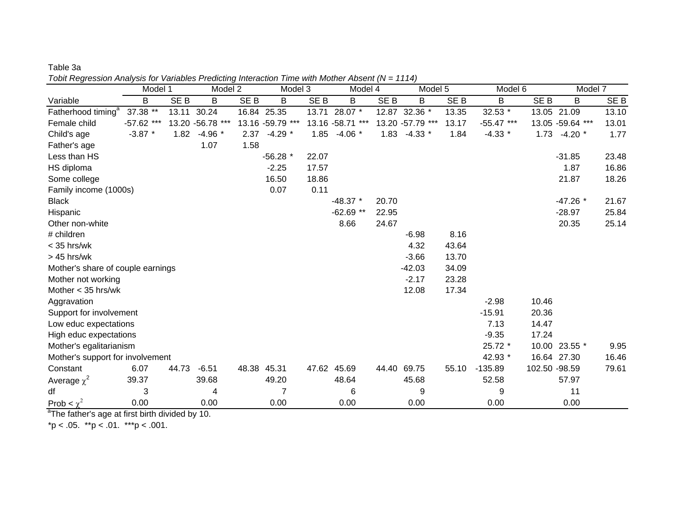| Topit Regression Analysis for Variables Predicting Interaction Time with Mother Absent (IV = 1114) |              |                 |                   |                 |                  |       |                   |       |                   |                 |              |                 |                   |                 |
|----------------------------------------------------------------------------------------------------|--------------|-----------------|-------------------|-----------------|------------------|-------|-------------------|-------|-------------------|-----------------|--------------|-----------------|-------------------|-----------------|
|                                                                                                    | Model 1      |                 | Model 2           |                 | Model 3          |       | Model 4           |       | Model 5           |                 | Model 6      |                 | Model 7           |                 |
| Variable                                                                                           | В            | SE <sub>B</sub> | В                 | SE <sub>B</sub> | B                | SE B  | B                 | SE B  | B                 | SE <sub>B</sub> | B            | SE <sub>B</sub> | B                 | SE <sub>B</sub> |
| Fatherhood timing <sup>a</sup>                                                                     | 37.38 **     | 13.11           | 30.24             |                 | 16.84 25.35      |       | 13.71 28.07 *     |       | 12.87 32.36 *     | 13.35           | 32.53 *      |                 | 13.05 21.09       | 13.10           |
| Female child                                                                                       | $-57.62$ *** |                 | 13.20 - 56.78 *** |                 | 13.16 -59.79 *** |       | 13.16 - 58.71 *** |       | 13.20 - 57.79 *** | 13.17           | $-55.47$ *** |                 | 13.05 - 59.64 *** | 13.01           |
| Child's age                                                                                        | $-3.87$ *    | 1.82            | $-4.96*$          | 2.37            | $-4.29$ *        | 1.85  | $-4.06*$          | 1.83  | $-4.33*$          | 1.84            | $-4.33*$     | 1.73            | $-4.20$ *         | 1.77            |
| Father's age                                                                                       |              |                 | 1.07              | 1.58            |                  |       |                   |       |                   |                 |              |                 |                   |                 |
| Less than HS                                                                                       |              |                 |                   |                 | $-56.28$ *       | 22.07 |                   |       |                   |                 |              |                 | $-31.85$          | 23.48           |
| HS diploma                                                                                         |              |                 |                   |                 | $-2.25$          | 17.57 |                   |       |                   |                 |              |                 | 1.87              | 16.86           |
| Some college                                                                                       |              |                 |                   |                 | 16.50            | 18.86 |                   |       |                   |                 |              |                 | 21.87             | 18.26           |
| Family income (1000s)                                                                              |              |                 |                   |                 | 0.07             | 0.11  |                   |       |                   |                 |              |                 |                   |                 |
| <b>Black</b>                                                                                       |              |                 |                   |                 |                  |       | $-48.37$ *        | 20.70 |                   |                 |              |                 | $-47.26*$         | 21.67           |
| Hispanic                                                                                           |              |                 |                   |                 |                  |       | $-62.69$ **       | 22.95 |                   |                 |              |                 | $-28.97$          | 25.84           |
| Other non-white                                                                                    |              |                 |                   |                 |                  |       | 8.66              | 24.67 |                   |                 |              |                 | 20.35             | 25.14           |
| # children                                                                                         |              |                 |                   |                 |                  |       |                   |       | $-6.98$           | 8.16            |              |                 |                   |                 |
| < 35 hrs/wk                                                                                        |              |                 |                   |                 |                  |       |                   |       | 4.32              | 43.64           |              |                 |                   |                 |
| $>45$ hrs/wk                                                                                       |              |                 |                   |                 |                  |       |                   |       | $-3.66$           | 13.70           |              |                 |                   |                 |
| Mother's share of couple earnings                                                                  |              |                 |                   |                 |                  |       |                   |       | $-42.03$          | 34.09           |              |                 |                   |                 |
| Mother not working                                                                                 |              |                 |                   |                 |                  |       |                   |       | $-2.17$           | 23.28           |              |                 |                   |                 |
| Mother $<$ 35 hrs/wk                                                                               |              |                 |                   |                 |                  |       |                   |       | 12.08             | 17.34           |              |                 |                   |                 |
| Aggravation                                                                                        |              |                 |                   |                 |                  |       |                   |       |                   |                 | $-2.98$      | 10.46           |                   |                 |
| Support for involvement                                                                            |              |                 |                   |                 |                  |       |                   |       |                   |                 | $-15.91$     | 20.36           |                   |                 |
| Low educ expectations                                                                              |              |                 |                   |                 |                  |       |                   |       |                   |                 | 7.13         | 14.47           |                   |                 |
| High educ expectations                                                                             |              |                 |                   |                 |                  |       |                   |       |                   |                 | $-9.35$      | 17.24           |                   |                 |
| Mother's egalitarianism                                                                            |              |                 |                   |                 |                  |       |                   |       |                   |                 | 25.72 *      |                 | 10.00 23.55 *     | 9.95            |
| Mother's support for involvement                                                                   |              |                 |                   |                 |                  |       |                   |       |                   |                 | 42.93 *      |                 | 16.64 27.30       | 16.46           |
| Constant                                                                                           | 6.07         | 44.73           | $-6.51$           | 48.38           | 45.31            |       | 47.62 45.69       | 44.40 | 69.75             | 55.10           | $-135.89$    | 102.50 -98.59   |                   | 79.61           |
| Average $\chi^2$                                                                                   | 39.37        |                 | 39.68             |                 | 49.20            |       | 48.64             |       | 45.68             |                 | 52.58        |                 | 57.97             |                 |
| df                                                                                                 | 3            |                 | 4                 |                 | 7                |       | 6                 |       | 9                 |                 | 9            |                 | 11                |                 |
| Prob $\lt \chi^2$                                                                                  | 0.00         |                 | 0.00              |                 | 0.00             |       | 0.00              |       | 0.00              |                 | 0.00         |                 | 0.00              |                 |

Table 3a *Tobit Regression Analysis for Variables Predicting Interaction Time with Mother Absent (N = 1114)*

<sup>a</sup>The father's age at first birth divided by 10.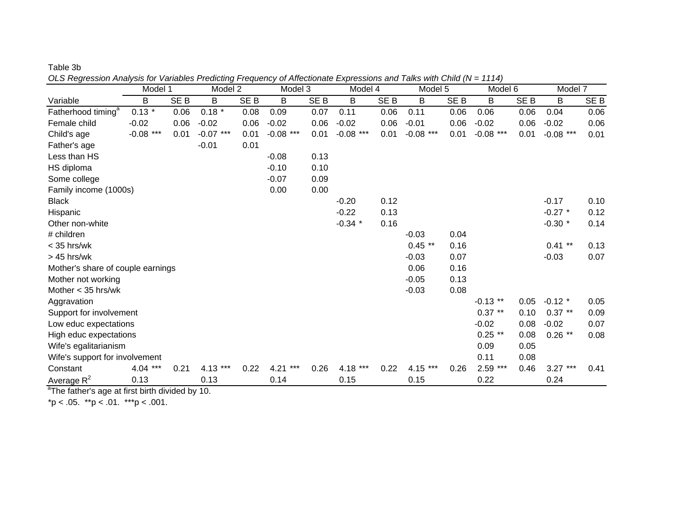| Table 3b |  |  |
|----------|--|--|
|----------|--|--|

*OLS Regression Analysis for Variables Predicting Frequency of Affectionate Expressions and Talks with Child (N = 1114)*

|                                   | Model 1     |                 | Model 2     |                 | Model 3     |                 | Model 4     |                 | Model 5       |                 | Model 6       |                 | Model 7     |                 |
|-----------------------------------|-------------|-----------------|-------------|-----------------|-------------|-----------------|-------------|-----------------|---------------|-----------------|---------------|-----------------|-------------|-----------------|
| Variable                          | B           | SE <sub>B</sub> | B           | SE <sub>B</sub> | B           | SE <sub>B</sub> | B           | SE <sub>B</sub> | B             | SE <sub>B</sub> | B             | SE <sub>B</sub> | B           | SE <sub>B</sub> |
| Fatherhood timing <sup>a</sup>    | $0.13*$     | 0.06            | $0.18 *$    | 0.08            | 0.09        | 0.07            | 0.11        | 0.06            | 0.11          | 0.06            | 0.06          | 0.06            | 0.04        | 0.06            |
| Female child                      | $-0.02$     | 0.06            | $-0.02$     | 0.06            | $-0.02$     | 0.06            | $-0.02$     | 0.06            | $-0.01$       | 0.06            | $-0.02$       | 0.06            | $-0.02$     | 0.06            |
| Child's age                       | $-0.08$ *** | 0.01            | $-0.07$ *** | 0.01            | $-0.08$ *** | 0.01            | $-0.08$ *** | 0.01            | $-0.08$ ***   | 0.01            | $-0.08$ ***   | 0.01            | $-0.08$ *** | 0.01            |
| Father's age                      |             |                 | $-0.01$     | 0.01            |             |                 |             |                 |               |                 |               |                 |             |                 |
| Less than HS                      |             |                 |             |                 | $-0.08$     | 0.13            |             |                 |               |                 |               |                 |             |                 |
| HS diploma                        |             |                 |             |                 | $-0.10$     | 0.10            |             |                 |               |                 |               |                 |             |                 |
| Some college                      |             |                 |             |                 | $-0.07$     | 0.09            |             |                 |               |                 |               |                 |             |                 |
| Family income (1000s)             |             |                 |             |                 | 0.00        | 0.00            |             |                 |               |                 |               |                 |             |                 |
| <b>Black</b>                      |             |                 |             |                 |             |                 | $-0.20$     | 0.12            |               |                 |               |                 | $-0.17$     | 0.10            |
| Hispanic                          |             |                 |             |                 |             |                 | $-0.22$     | 0.13            |               |                 |               |                 | $-0.27$ *   | 0.12            |
| Other non-white                   |             |                 |             |                 |             |                 | $-0.34$ *   | 0.16            |               |                 |               |                 | $-0.30$ *   | 0.14            |
| # children                        |             |                 |             |                 |             |                 |             |                 | $-0.03$       | 0.04            |               |                 |             |                 |
| $<$ 35 hrs/wk                     |             |                 |             |                 |             |                 |             |                 | $0.45$ **     | 0.16            |               |                 | $0.41$ **   | 0.13            |
| $>45$ hrs/wk                      |             |                 |             |                 |             |                 |             |                 | $-0.03$       | 0.07            |               |                 | $-0.03$     | 0.07            |
| Mother's share of couple earnings |             |                 |             |                 |             |                 |             |                 | 0.06          | 0.16            |               |                 |             |                 |
| Mother not working                |             |                 |             |                 |             |                 |             |                 | $-0.05$       | 0.13            |               |                 |             |                 |
| Mother $<$ 35 hrs/wk              |             |                 |             |                 |             |                 |             |                 | $-0.03$       | 0.08            |               |                 |             |                 |
| Aggravation                       |             |                 |             |                 |             |                 |             |                 |               |                 | $-0.13$ **    | 0.05            | $-0.12$ *   | 0.05            |
| Support for involvement           |             |                 |             |                 |             |                 |             |                 |               |                 | $0.37**$      | 0.10            | $0.37**$    | 0.09            |
| Low educ expectations             |             |                 |             |                 |             |                 |             |                 |               |                 | $-0.02$       | 0.08            | $-0.02$     | 0.07            |
| High educ expectations            |             |                 |             |                 |             |                 |             |                 |               |                 | $0.25$ **     | 0.08            | $0.26$ **   | 0.08            |
| Wife's egalitarianism             |             |                 |             |                 |             |                 |             |                 |               |                 | 0.09          | 0.05            |             |                 |
| Wife's support for involvement    |             |                 |             |                 |             |                 |             |                 |               |                 | 0.11          | 0.08            |             |                 |
| Constant                          | $4.04***$   | 0.21            | 4.13<br>*** | 0.22            | 4.21<br>*** | 0.26            | 4.18 ***    | 0.22            | 4.15<br>$***$ | 0.26            | 2.59<br>$***$ | 0.46            | $3.27***$   | 0.41            |
| Average $R^2$                     | 0.13        |                 | 0.13        |                 | 0.14        |                 | 0.15        |                 | 0.15          |                 | 0.22          |                 | 0.24        |                 |

 $\mathrm{^a}$ The father's age at first birth divided by 10.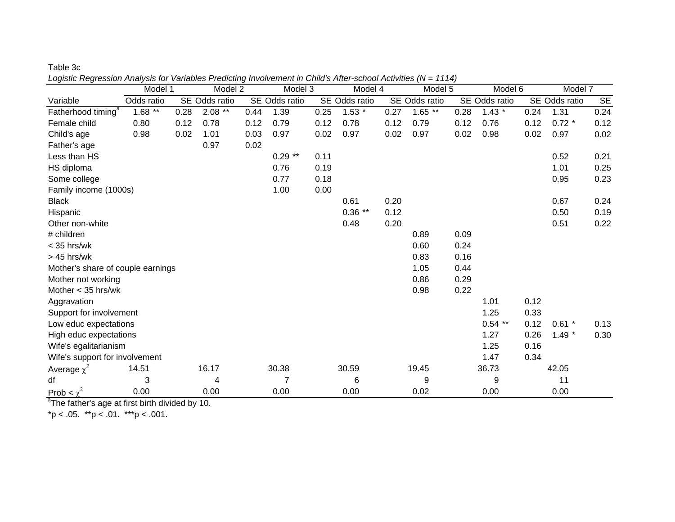| Table 3c                                                                                                        |  |
|-----------------------------------------------------------------------------------------------------------------|--|
| Logistic Regression Analysis for Variables Predicting Involvement in Child's After-school Activities (N = 1114) |  |

|                                   | Model 1    |      | Model 2       |      | Model 3        |      | Model 4       |      | Model 5       |      | Model 6       |      | Model 7       |      |
|-----------------------------------|------------|------|---------------|------|----------------|------|---------------|------|---------------|------|---------------|------|---------------|------|
| Variable                          | Odds ratio |      | SE Odds ratio |      | SE Odds ratio  |      | SE Odds ratio |      | SE Odds ratio |      | SE Odds ratio |      | SE Odds ratio | SE   |
| Fatherhood timing <sup>a</sup>    | $1.68$ **  | 0.28 | $2.08**$      | 0.44 | 1.39           | 0.25 | $1.53*$       | 0.27 | $1.65$ **     | 0.28 | $1.43*$       | 0.24 | 1.31          | 0.24 |
| Female child                      | 0.80       | 0.12 | 0.78          | 0.12 | 0.79           | 0.12 | 0.78          | 0.12 | 0.79          | 0.12 | 0.76          | 0.12 | $0.72 *$      | 0.12 |
| Child's age                       | 0.98       | 0.02 | 1.01          | 0.03 | 0.97           | 0.02 | 0.97          | 0.02 | 0.97          | 0.02 | 0.98          | 0.02 | 0.97          | 0.02 |
| Father's age                      |            |      | 0.97          | 0.02 |                |      |               |      |               |      |               |      |               |      |
| Less than HS                      |            |      |               |      | $0.29**$       | 0.11 |               |      |               |      |               |      | 0.52          | 0.21 |
| HS diploma                        |            |      |               |      | 0.76           | 0.19 |               |      |               |      |               |      | 1.01          | 0.25 |
| Some college                      |            |      |               |      | 0.77           | 0.18 |               |      |               |      |               |      | 0.95          | 0.23 |
| Family income (1000s)             |            |      |               |      | 1.00           | 0.00 |               |      |               |      |               |      |               |      |
| <b>Black</b>                      |            |      |               |      |                |      | 0.61          | 0.20 |               |      |               |      | 0.67          | 0.24 |
| Hispanic                          |            |      |               |      |                |      | $0.36$ **     | 0.12 |               |      |               |      | 0.50          | 0.19 |
| Other non-white                   |            |      |               |      |                |      | 0.48          | 0.20 |               |      |               |      | 0.51          | 0.22 |
| # children                        |            |      |               |      |                |      |               |      | 0.89          | 0.09 |               |      |               |      |
| $<$ 35 hrs/wk                     |            |      |               |      |                |      |               |      | 0.60          | 0.24 |               |      |               |      |
| $>45$ hrs/wk                      |            |      |               |      |                |      |               |      | 0.83          | 0.16 |               |      |               |      |
| Mother's share of couple earnings |            |      |               |      |                |      |               |      | 1.05          | 0.44 |               |      |               |      |
| Mother not working                |            |      |               |      |                |      |               |      | 0.86          | 0.29 |               |      |               |      |
| Mother $<$ 35 hrs/wk              |            |      |               |      |                |      |               |      | 0.98          | 0.22 |               |      |               |      |
| Aggravation                       |            |      |               |      |                |      |               |      |               |      | 1.01          | 0.12 |               |      |
| Support for involvement           |            |      |               |      |                |      |               |      |               |      | 1.25          | 0.33 |               |      |
| Low educ expectations             |            |      |               |      |                |      |               |      |               |      | $0.54$ **     | 0.12 | $0.61$ *      | 0.13 |
| High educ expectations            |            |      |               |      |                |      |               |      |               |      | 1.27          | 0.26 | $1.49*$       | 0.30 |
| Wife's egalitarianism             |            |      |               |      |                |      |               |      |               |      | 1.25          | 0.16 |               |      |
| Wife's support for involvement    |            |      |               |      |                |      |               |      |               |      | 1.47          | 0.34 |               |      |
| Average $\chi^2$                  | 14.51      |      | 16.17         |      | 30.38          |      | 30.59         |      | 19.45         |      | 36.73         |      | 42.05         |      |
| df                                | 3          |      | 4             |      | $\overline{7}$ |      | 6             |      | 9             |      | 9             |      | 11            |      |
| Prob $\leq \chi^2$                | 0.00       |      | 0.00          |      | 0.00           |      | 0.00          |      | 0.02          |      | 0.00          |      | 0.00          |      |

<sup>a</sup>The father's age at first birth divided by 10.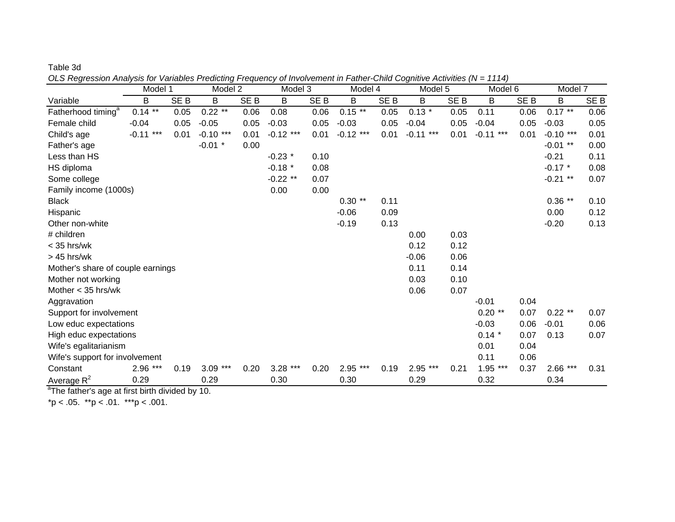| Table 3d |  |
|----------|--|
|----------|--|

*OLS Regression Analysis for Variables Predicting Frequency of Involvement in Father-Child Cognitive Activities (N = 1114)*

|                                   | Model 1          |                 | Model 2       |                 | Model 3     |                 | Model 4       |                 | Model 5        |                 | Model 6        |                 | Model 7     |                 |
|-----------------------------------|------------------|-----------------|---------------|-----------------|-------------|-----------------|---------------|-----------------|----------------|-----------------|----------------|-----------------|-------------|-----------------|
| Variable                          | B                | SE <sub>B</sub> | B             | SE <sub>B</sub> | B           | SE <sub>B</sub> | B             | SE <sub>B</sub> | B              | SE <sub>B</sub> | В              | SE <sub>B</sub> | B           | SE <sub>B</sub> |
| Fatherhood timing <sup>a</sup>    | $0.14$ **        | 0.05            | $0.22$ **     | 0.06            | 0.08        | 0.06            | $0.15$ **     | 0.05            | $0.13 *$       | 0.05            | 0.11           | 0.06            | $0.17**$    | 0.06            |
| Female child                      | $-0.04$          | 0.05            | $-0.05$       | 0.05            | $-0.03$     | 0.05            | $-0.03$       | 0.05            | $-0.04$        | 0.05            | $-0.04$        | 0.05            | $-0.03$     | 0.05            |
| Child's age                       | $***$<br>$-0.11$ | 0.01            | $-0.10$ ***   | 0.01            | $-0.12$ *** | 0.01            | $-0.12$ ***   | 0.01            | ***<br>$-0.11$ | 0.01            | ***<br>$-0.11$ | 0.01            | $-0.10$ *** | 0.01            |
| Father's age                      |                  |                 | $-0.01$ *     | 0.00            |             |                 |               |                 |                |                 |                |                 | $-0.01$ **  | 0.00            |
| Less than HS                      |                  |                 |               |                 | $-0.23$ *   | 0.10            |               |                 |                |                 |                |                 | $-0.21$     | 0.11            |
| HS diploma                        |                  |                 |               |                 | $-0.18$ *   | 0.08            |               |                 |                |                 |                |                 | $-0.17$ *   | 0.08            |
| Some college                      |                  |                 |               |                 | $-0.22$ **  | 0.07            |               |                 |                |                 |                |                 | $-0.21$ **  | 0.07            |
| Family income (1000s)             |                  |                 |               |                 | 0.00        | 0.00            |               |                 |                |                 |                |                 |             |                 |
| <b>Black</b>                      |                  |                 |               |                 |             |                 | $0.30**$      | 0.11            |                |                 |                |                 | $0.36$ **   | 0.10            |
| Hispanic                          |                  |                 |               |                 |             |                 | $-0.06$       | 0.09            |                |                 |                |                 | 0.00        | 0.12            |
| Other non-white                   |                  |                 |               |                 |             |                 | $-0.19$       | 0.13            |                |                 |                |                 | $-0.20$     | 0.13            |
| # children                        |                  |                 |               |                 |             |                 |               |                 | 0.00           | 0.03            |                |                 |             |                 |
| $<$ 35 hrs/wk                     |                  |                 |               |                 |             |                 |               |                 | 0.12           | 0.12            |                |                 |             |                 |
| > 45 hrs/wk                       |                  |                 |               |                 |             |                 |               |                 | $-0.06$        | 0.06            |                |                 |             |                 |
| Mother's share of couple earnings |                  |                 |               |                 |             |                 |               |                 | 0.11           | 0.14            |                |                 |             |                 |
| Mother not working                |                  |                 |               |                 |             |                 |               |                 | 0.03           | 0.10            |                |                 |             |                 |
| Mother $<$ 35 hrs/wk              |                  |                 |               |                 |             |                 |               |                 | 0.06           | 0.07            |                |                 |             |                 |
| Aggravation                       |                  |                 |               |                 |             |                 |               |                 |                |                 | $-0.01$        | 0.04            |             |                 |
| Support for involvement           |                  |                 |               |                 |             |                 |               |                 |                |                 | $0.20**$       | 0.07            | $0.22$ **   | 0.07            |
| Low educ expectations             |                  |                 |               |                 |             |                 |               |                 |                |                 | $-0.03$        | 0.06            | $-0.01$     | 0.06            |
| High educ expectations            |                  |                 |               |                 |             |                 |               |                 |                |                 | $0.14$ *       | 0.07            | 0.13        | 0.07            |
| Wife's egalitarianism             |                  |                 |               |                 |             |                 |               |                 |                |                 | 0.01           | 0.04            |             |                 |
| Wife's support for involvement    |                  |                 |               |                 |             |                 |               |                 |                |                 | 0.11           | 0.06            |             |                 |
| Constant                          | 2.96<br>***      | 0.19            | $***$<br>3.09 | 0.20            | ***<br>3.28 | 0.20            | $***$<br>2.95 | 0.19            | 2.95<br>***    | 0.21            | $1.95***$      | 0.37            | 2.66<br>*** | 0.31            |
| Average $R^2$                     | 0.29             |                 | 0.29          |                 | 0.30        |                 | 0.30          |                 | 0.29           |                 | 0.32           |                 | 0.34        |                 |

 $\mathrm{^a}$ The father's age at first birth divided by 10.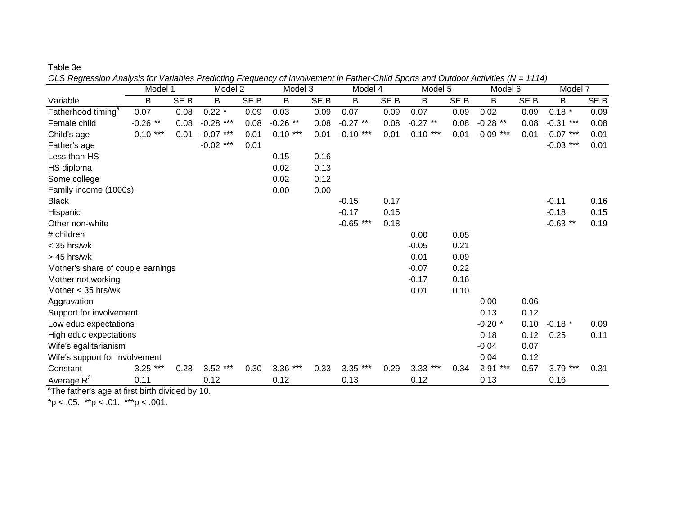Table 3e

*OLS Regression Analysis for Variables Predicting Frequency of Involvement in Father-Child Sports and Outdoor Activities (N = 1114)* Model 1 Model 2 Model 3 Model 4 Model 5 Model 6 Model 7 Variablee B B SEB B SEB B SEB B SEB B SEB B SEB B SEB Fatherhood timing<sup>a</sup> 0.07 0.08 0.22 \* 0.09 0.03 0.09 0.07 0.09 0.07 0.09 0.02 0.09 0.18 \* 0.09 Female child-0.26 \*\* 0.08 -0.28 \*\*\* 0.08 -0.26 \*\* 0.08 -0.27 \*\* 0.08 -0.27 \*\* 0.08 -0.28 \*\* 0.08 -0.31 \*\*\* 0.08

| Child's age                       | $-0.10$ *** | 0.01 | $-0.07$ *** | 0.01 | $-0.10***$  | 0.01 | $-0.10***$  | 0.01 | $-0.10***$ | 0.01 | $-0.09$ *** | 0.01 | $-0.07$ *** | 0.01 |
|-----------------------------------|-------------|------|-------------|------|-------------|------|-------------|------|------------|------|-------------|------|-------------|------|
| Father's age                      |             |      | $-0.02$ *** | 0.01 |             |      |             |      |            |      |             |      | $-0.03$ *** | 0.01 |
| Less than HS                      |             |      |             |      | $-0.15$     | 0.16 |             |      |            |      |             |      |             |      |
| HS diploma                        |             |      |             |      | 0.02        | 0.13 |             |      |            |      |             |      |             |      |
| Some college                      |             |      |             |      | 0.02        | 0.12 |             |      |            |      |             |      |             |      |
| Family income (1000s)             |             |      |             |      | 0.00        | 0.00 |             |      |            |      |             |      |             |      |
| <b>Black</b>                      |             |      |             |      |             |      | $-0.15$     | 0.17 |            |      |             |      | $-0.11$     | 0.16 |
| Hispanic                          |             |      |             |      |             |      | $-0.17$     | 0.15 |            |      |             |      | $-0.18$     | 0.15 |
| Other non-white                   |             |      |             |      |             |      | $-0.65$ *** | 0.18 |            |      |             |      | $-0.63$ **  | 0.19 |
| # children                        |             |      |             |      |             |      |             |      | 0.00       | 0.05 |             |      |             |      |
| $<$ 35 hrs/wk                     |             |      |             |      |             |      |             |      | $-0.05$    | 0.21 |             |      |             |      |
| $> 45$ hrs/wk                     |             |      |             |      |             |      |             |      | 0.01       | 0.09 |             |      |             |      |
| Mother's share of couple earnings |             |      |             |      |             |      |             |      | $-0.07$    | 0.22 |             |      |             |      |
| Mother not working                |             |      |             |      |             |      |             |      | $-0.17$    | 0.16 |             |      |             |      |
| Mother $<$ 35 hrs/wk              |             |      |             |      |             |      |             |      | 0.01       | 0.10 |             |      |             |      |
| Aggravation                       |             |      |             |      |             |      |             |      |            |      | 0.00        | 0.06 |             |      |
| Support for involvement           |             |      |             |      |             |      |             |      |            |      | 0.13        | 0.12 |             |      |
| Low educ expectations             |             |      |             |      |             |      |             |      |            |      | $-0.20$ *   | 0.10 | $-0.18$ *   | 0.09 |
| High educ expectations            |             |      |             |      |             |      |             |      |            |      | 0.18        | 0.12 | 0.25        | 0.11 |
| Wife's egalitarianism             |             |      |             |      |             |      |             |      |            |      | $-0.04$     | 0.07 |             |      |
| Wife's support for involvement    |             |      |             |      |             |      |             |      |            |      | 0.04        | 0.12 |             |      |
| Constant                          | $3.25$ ***  | 0.28 | $3.52***$   | 0.30 | 3.36<br>*** | 0.33 | $3.35***$   | 0.29 | $3.33$ *** | 0.34 | ***<br>2.91 | 0.57 | $3.79$ ***  | 0.31 |
| Average $R^2$                     | 0.11        |      | 0.12        |      | 0.12        |      | 0.13        |      | 0.12       |      | 0.13        |      | 0.16        |      |

 $a$ The father's age at first birth divided by 10.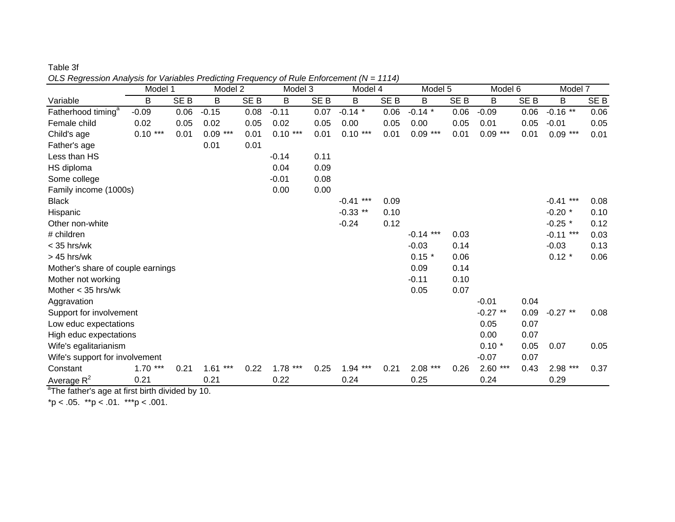| OLS Regression Analysis for variables Predicting Frequency of Rule Enforcement (N = 1114) | Model 1   |                 | Model 2       |                 | Model 3     |                 | Model 4     |                 | Model 5     |                 | Model 6       |                 | Model 7     |                 |
|-------------------------------------------------------------------------------------------|-----------|-----------------|---------------|-----------------|-------------|-----------------|-------------|-----------------|-------------|-----------------|---------------|-----------------|-------------|-----------------|
| Variable                                                                                  | B         | SE <sub>B</sub> | B             | SE <sub>B</sub> | В           | SE <sub>B</sub> | В           | SE <sub>B</sub> | B           | SE <sub>B</sub> | B             | SE <sub>B</sub> | В           | SE <sub>B</sub> |
| Fatherhood timing <sup>a</sup>                                                            | $-0.09$   | 0.06            | $-0.15$       | 0.08            | $-0.11$     | 0.07            | $-0.14$ *   | 0.06            | $-0.14$ *   | 0.06            | $-0.09$       | 0.06            | $-0.16$ **  | 0.06            |
| Female child                                                                              | 0.02      | 0.05            | 0.02          | 0.05            | 0.02        | 0.05            | 0.00        | 0.05            | 0.00        | 0.05            | 0.01          | 0.05            | $-0.01$     | 0.05            |
| Child's age                                                                               | $0.10***$ | 0.01            | 0.09<br>$***$ | 0.01            | $0.10***$   | 0.01            | $0.10***$   | 0.01            | $0.09***$   | 0.01            | $0.09***$     | 0.01            | $0.09***$   | 0.01            |
| Father's age                                                                              |           |                 | 0.01          | 0.01            |             |                 |             |                 |             |                 |               |                 |             |                 |
| Less than HS                                                                              |           |                 |               |                 | $-0.14$     | 0.11            |             |                 |             |                 |               |                 |             |                 |
| HS diploma                                                                                |           |                 |               |                 | 0.04        | 0.09            |             |                 |             |                 |               |                 |             |                 |
| Some college                                                                              |           |                 |               |                 | $-0.01$     | 0.08            |             |                 |             |                 |               |                 |             |                 |
| Family income (1000s)                                                                     |           |                 |               |                 | 0.00        | 0.00            |             |                 |             |                 |               |                 |             |                 |
| <b>Black</b>                                                                              |           |                 |               |                 |             |                 | $-0.41$ *** | 0.09            |             |                 |               |                 | $-0.41$ *** | 0.08            |
| Hispanic                                                                                  |           |                 |               |                 |             |                 | $-0.33$ **  | 0.10            |             |                 |               |                 | $-0.20$ *   | 0.10            |
| Other non-white                                                                           |           |                 |               |                 |             |                 | $-0.24$     | 0.12            |             |                 |               |                 | $-0.25$ *   | 0.12            |
| # children                                                                                |           |                 |               |                 |             |                 |             |                 | $-0.14$ *** | 0.03            |               |                 | $-0.11$ *** | 0.03            |
| $<$ 35 hrs/wk                                                                             |           |                 |               |                 |             |                 |             |                 | $-0.03$     | 0.14            |               |                 | $-0.03$     | 0.13            |
| $>45$ hrs/wk                                                                              |           |                 |               |                 |             |                 |             |                 | $0.15 *$    | 0.06            |               |                 | $0.12 *$    | 0.06            |
| Mother's share of couple earnings                                                         |           |                 |               |                 |             |                 |             |                 | 0.09        | 0.14            |               |                 |             |                 |
| Mother not working                                                                        |           |                 |               |                 |             |                 |             |                 | $-0.11$     | 0.10            |               |                 |             |                 |
| Mother $<$ 35 hrs/wk                                                                      |           |                 |               |                 |             |                 |             |                 | 0.05        | 0.07            |               |                 |             |                 |
| Aggravation                                                                               |           |                 |               |                 |             |                 |             |                 |             |                 | $-0.01$       | 0.04            |             |                 |
| Support for involvement                                                                   |           |                 |               |                 |             |                 |             |                 |             |                 | $-0.27$ **    | 0.09            | $-0.27$ **  | 0.08            |
| Low educ expectations                                                                     |           |                 |               |                 |             |                 |             |                 |             |                 | 0.05          | 0.07            |             |                 |
| High educ expectations                                                                    |           |                 |               |                 |             |                 |             |                 |             |                 | 0.00          | 0.07            |             |                 |
| Wife's egalitarianism                                                                     |           |                 |               |                 |             |                 |             |                 |             |                 | $0.10*$       | 0.05            | 0.07        | 0.05            |
| Wife's support for involvement                                                            |           |                 |               |                 |             |                 |             |                 |             |                 | $-0.07$       | 0.07            |             |                 |
| Constant                                                                                  | $1.70***$ | 0.21            | ***<br>1.61   | 0.22            | 1.78<br>*** | 0.25            | ***<br>1.94 | 0.21            | ***<br>2.08 | 0.26            | $***$<br>2.60 | 0.43            | 2.98 ***    | 0.37            |
| Average $R^2$                                                                             | 0.21      |                 | 0.21          |                 | 0.22        |                 | 0.24        |                 | 0.25        |                 | 0.24          |                 | 0.29        |                 |

Table 3f*OLS Regression Analysis for Variables Predicting Frequency of Rule Enforcement (N = 1114)*

 $\mathrm{^a}$ The father's age at first birth divided by 10.